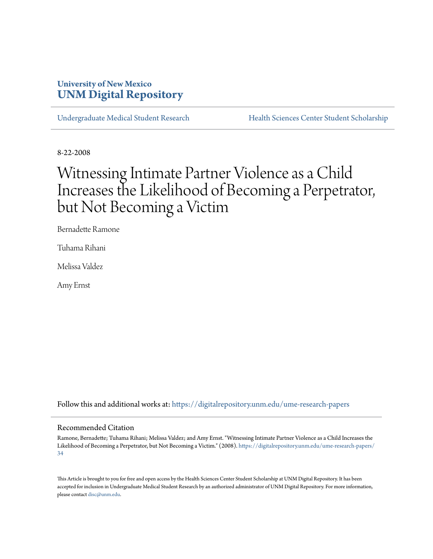# **University of New Mexico [UNM Digital Repository](https://digitalrepository.unm.edu?utm_source=digitalrepository.unm.edu%2Fume-research-papers%2F34&utm_medium=PDF&utm_campaign=PDFCoverPages)**

[Undergraduate Medical Student Research](https://digitalrepository.unm.edu/ume-research-papers?utm_source=digitalrepository.unm.edu%2Fume-research-papers%2F34&utm_medium=PDF&utm_campaign=PDFCoverPages) [Health Sciences Center Student Scholarship](https://digitalrepository.unm.edu/hsc-students?utm_source=digitalrepository.unm.edu%2Fume-research-papers%2F34&utm_medium=PDF&utm_campaign=PDFCoverPages)

8-22-2008

# Witnessing Intimate Partner Violence as a Child Increases the Likelihood of Becoming a Perpetrator, but Not Becoming a Victim

Bernadette Ramone

Tuhama Rihani

Melissa Valdez

Amy Ernst

Follow this and additional works at: [https://digitalrepository.unm.edu/ume-research-papers](https://digitalrepository.unm.edu/ume-research-papers?utm_source=digitalrepository.unm.edu%2Fume-research-papers%2F34&utm_medium=PDF&utm_campaign=PDFCoverPages)

#### Recommended Citation

Ramone, Bernadette; Tuhama Rihani; Melissa Valdez; and Amy Ernst. "Witnessing Intimate Partner Violence as a Child Increases the Likelihood of Becoming a Perpetrator, but Not Becoming a Victim." (2008). [https://digitalrepository.unm.edu/ume-research-papers/](https://digitalrepository.unm.edu/ume-research-papers/34?utm_source=digitalrepository.unm.edu%2Fume-research-papers%2F34&utm_medium=PDF&utm_campaign=PDFCoverPages) [34](https://digitalrepository.unm.edu/ume-research-papers/34?utm_source=digitalrepository.unm.edu%2Fume-research-papers%2F34&utm_medium=PDF&utm_campaign=PDFCoverPages)

This Article is brought to you for free and open access by the Health Sciences Center Student Scholarship at UNM Digital Repository. It has been accepted for inclusion in Undergraduate Medical Student Research by an authorized administrator of UNM Digital Repository. For more information, please contact [disc@unm.edu.](mailto:disc@unm.edu)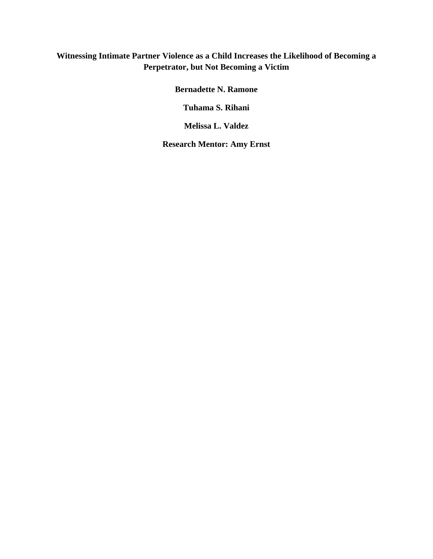### **Witnessing Intimate Partner Violence as a Child Increases the Likelihood of Becoming a Perpetrator, but Not Becoming a Victim**

**Bernadette N. Ramone** 

**Tuhama S. Rihani** 

**Melissa L. Valdez** 

**Research Mentor: Amy Ernst**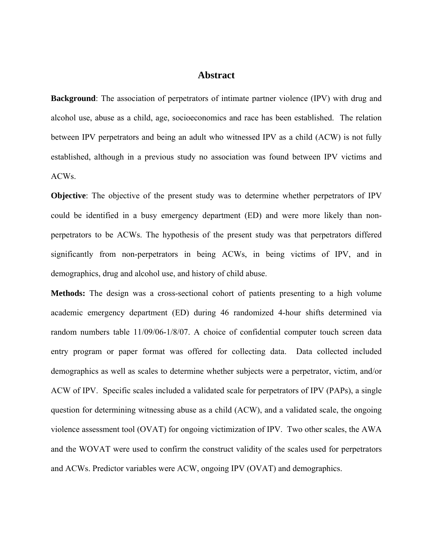#### **Abstract**

**Background**: The association of perpetrators of intimate partner violence (IPV) with drug and alcohol use, abuse as a child, age, socioeconomics and race has been established. The relation between IPV perpetrators and being an adult who witnessed IPV as a child (ACW) is not fully established, although in a previous study no association was found between IPV victims and ACWs.

**Objective**: The objective of the present study was to determine whether perpetrators of IPV could be identified in a busy emergency department (ED) and were more likely than nonperpetrators to be ACWs. The hypothesis of the present study was that perpetrators differed significantly from non-perpetrators in being ACWs, in being victims of IPV, and in demographics, drug and alcohol use, and history of child abuse.

**Methods:** The design was a cross-sectional cohort of patients presenting to a high volume academic emergency department (ED) during 46 randomized 4-hour shifts determined via random numbers table 11/09/06-1/8/07. A choice of confidential computer touch screen data entry program or paper format was offered for collecting data. Data collected included demographics as well as scales to determine whether subjects were a perpetrator, victim, and/or ACW of IPV. Specific scales included a validated scale for perpetrators of IPV (PAPs), a single question for determining witnessing abuse as a child (ACW), and a validated scale, the ongoing violence assessment tool (OVAT) for ongoing victimization of IPV. Two other scales, the AWA and the WOVAT were used to confirm the construct validity of the scales used for perpetrators and ACWs. Predictor variables were ACW, ongoing IPV (OVAT) and demographics.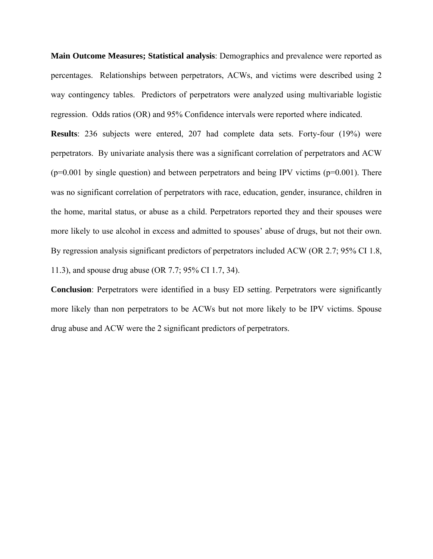**Main Outcome Measures; Statistical analysis**: Demographics and prevalence were reported as percentages. Relationships between perpetrators, ACWs, and victims were described using 2 way contingency tables. Predictors of perpetrators were analyzed using multivariable logistic regression. Odds ratios (OR) and 95% Confidence intervals were reported where indicated.

**Results**: 236 subjects were entered, 207 had complete data sets. Forty-four (19%) were perpetrators. By univariate analysis there was a significant correlation of perpetrators and ACW  $(p=0.001)$  by single question) and between perpetrators and being IPV victims  $(p=0.001)$ . There was no significant correlation of perpetrators with race, education, gender, insurance, children in the home, marital status, or abuse as a child. Perpetrators reported they and their spouses were more likely to use alcohol in excess and admitted to spouses' abuse of drugs, but not their own. By regression analysis significant predictors of perpetrators included ACW (OR 2.7; 95% CI 1.8, 11.3), and spouse drug abuse (OR 7.7; 95% CI 1.7, 34).

**Conclusion**: Perpetrators were identified in a busy ED setting. Perpetrators were significantly more likely than non perpetrators to be ACWs but not more likely to be IPV victims. Spouse drug abuse and ACW were the 2 significant predictors of perpetrators.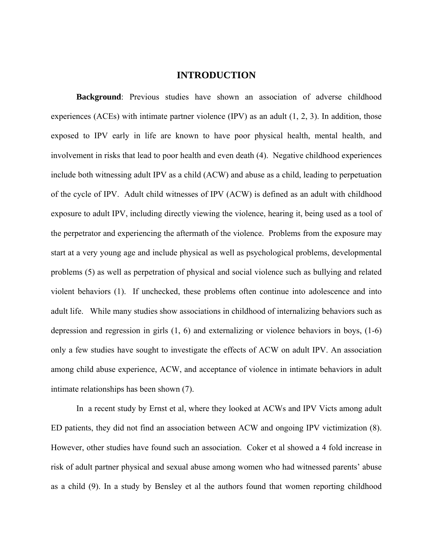#### **INTRODUCTION**

**Background**: Previous studies have shown an association of adverse childhood experiences (ACEs) with intimate partner violence (IPV) as an adult (1, 2, 3). In addition, those exposed to IPV early in life are known to have poor physical health, mental health, and involvement in risks that lead to poor health and even death (4). Negative childhood experiences include both witnessing adult IPV as a child (ACW) and abuse as a child, leading to perpetuation of the cycle of IPV. Adult child witnesses of IPV (ACW) is defined as an adult with childhood exposure to adult IPV, including directly viewing the violence, hearing it, being used as a tool of the perpetrator and experiencing the aftermath of the violence. Problems from the exposure may start at a very young age and include physical as well as psychological problems, developmental problems (5) as well as perpetration of physical and social violence such as bullying and related violent behaviors (1). If unchecked, these problems often continue into adolescence and into adult life. While many studies show associations in childhood of internalizing behaviors such as depression and regression in girls (1, 6) and externalizing or violence behaviors in boys, (1-6) only a few studies have sought to investigate the effects of ACW on adult IPV. An association among child abuse experience, ACW, and acceptance of violence in intimate behaviors in adult intimate relationships has been shown (7).

In a recent study by Ernst et al, where they looked at ACWs and IPV Victs among adult ED patients, they did not find an association between ACW and ongoing IPV victimization (8). However, other studies have found such an association. Coker et al showed a 4 fold increase in risk of adult partner physical and sexual abuse among women who had witnessed parents' abuse as a child (9). In a study by Bensley et al the authors found that women reporting childhood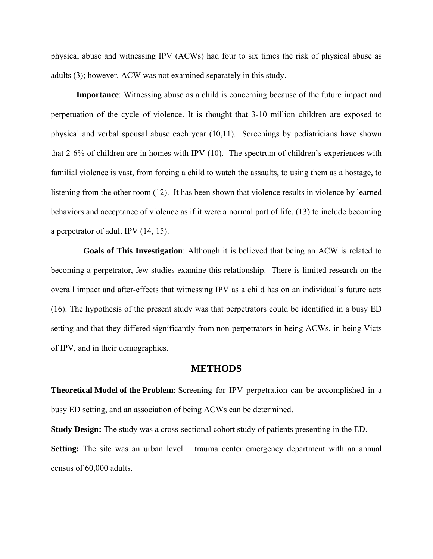physical abuse and witnessing IPV (ACWs) had four to six times the risk of physical abuse as adults (3); however, ACW was not examined separately in this study.

**Importance**: Witnessing abuse as a child is concerning because of the future impact and perpetuation of the cycle of violence. It is thought that 3-10 million children are exposed to physical and verbal spousal abuse each year (10,11). Screenings by pediatricians have shown that 2-6% of children are in homes with IPV (10). The spectrum of children's experiences with familial violence is vast, from forcing a child to watch the assaults, to using them as a hostage, to listening from the other room (12). It has been shown that violence results in violence by learned behaviors and acceptance of violence as if it were a normal part of life, (13) to include becoming a perpetrator of adult IPV (14, 15).

**Goals of This Investigation**: Although it is believed that being an ACW is related to becoming a perpetrator, few studies examine this relationship. There is limited research on the overall impact and after-effects that witnessing IPV as a child has on an individual's future acts (16). The hypothesis of the present study was that perpetrators could be identified in a busy ED setting and that they differed significantly from non-perpetrators in being ACWs, in being Victs of IPV, and in their demographics.

#### **METHODS**

**Theoretical Model of the Problem**: Screening for IPV perpetration can be accomplished in a busy ED setting, and an association of being ACWs can be determined.

**Study Design:** The study was a cross-sectional cohort study of patients presenting in the ED. **Setting:** The site was an urban level 1 trauma center emergency department with an annual census of 60,000 adults.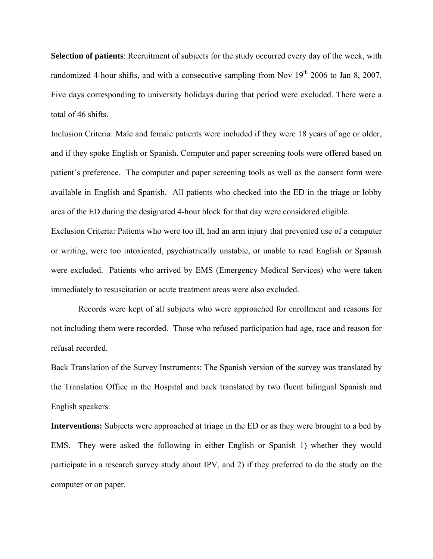**Selection of patients**: Recruitment of subjects for the study occurred every day of the week, with randomized 4-hour shifts, and with a consecutive sampling from Nov  $19<sup>th</sup>$  2006 to Jan 8, 2007. Five days corresponding to university holidays during that period were excluded. There were a total of 46 shifts.

Inclusion Criteria: Male and female patients were included if they were 18 years of age or older, and if they spoke English or Spanish. Computer and paper screening tools were offered based on patient's preference. The computer and paper screening tools as well as the consent form were available in English and Spanish. All patients who checked into the ED in the triage or lobby area of the ED during the designated 4-hour block for that day were considered eligible.

Exclusion Criteria: Patients who were too ill, had an arm injury that prevented use of a computer or writing, were too intoxicated, psychiatrically unstable, or unable to read English or Spanish were excluded. Patients who arrived by EMS (Emergency Medical Services) who were taken immediately to resuscitation or acute treatment areas were also excluded.

 Records were kept of all subjects who were approached for enrollment and reasons for not including them were recorded. Those who refused participation had age, race and reason for refusal recorded.

Back Translation of the Survey Instruments: The Spanish version of the survey was translated by the Translation Office in the Hospital and back translated by two fluent bilingual Spanish and English speakers.

**Interventions:** Subjects were approached at triage in the ED or as they were brought to a bed by EMS. They were asked the following in either English or Spanish 1) whether they would participate in a research survey study about IPV, and 2) if they preferred to do the study on the computer or on paper.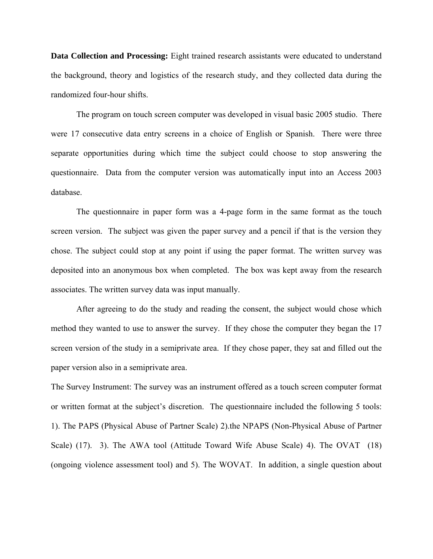**Data Collection and Processing:** Eight trained research assistants were educated to understand the background, theory and logistics of the research study, and they collected data during the randomized four-hour shifts.

 The program on touch screen computer was developed in visual basic 2005 studio. There were 17 consecutive data entry screens in a choice of English or Spanish. There were three separate opportunities during which time the subject could choose to stop answering the questionnaire. Data from the computer version was automatically input into an Access 2003 database.

 The questionnaire in paper form was a 4-page form in the same format as the touch screen version. The subject was given the paper survey and a pencil if that is the version they chose. The subject could stop at any point if using the paper format. The written survey was deposited into an anonymous box when completed. The box was kept away from the research associates. The written survey data was input manually.

 After agreeing to do the study and reading the consent, the subject would chose which method they wanted to use to answer the survey. If they chose the computer they began the 17 screen version of the study in a semiprivate area. If they chose paper, they sat and filled out the paper version also in a semiprivate area.

The Survey Instrument: The survey was an instrument offered as a touch screen computer format or written format at the subject's discretion. The questionnaire included the following 5 tools: 1). The PAPS (Physical Abuse of Partner Scale) 2).the NPAPS (Non-Physical Abuse of Partner Scale) (17). 3). The AWA tool (Attitude Toward Wife Abuse Scale) 4). The OVAT (18) (ongoing violence assessment tool) and 5). The WOVAT. In addition, a single question about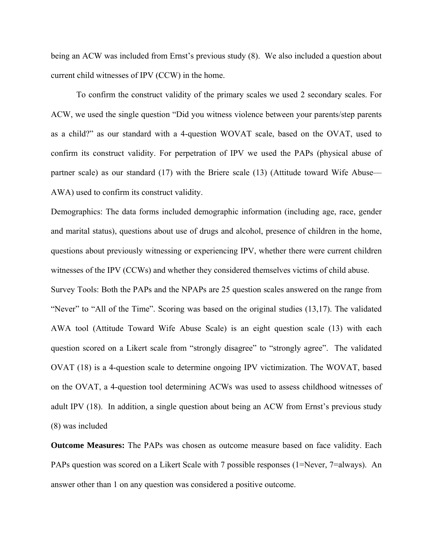being an ACW was included from Ernst's previous study (8). We also included a question about current child witnesses of IPV (CCW) in the home.

To confirm the construct validity of the primary scales we used 2 secondary scales. For ACW, we used the single question "Did you witness violence between your parents/step parents as a child?" as our standard with a 4-question WOVAT scale, based on the OVAT, used to confirm its construct validity. For perpetration of IPV we used the PAPs (physical abuse of partner scale) as our standard (17) with the Briere scale (13) (Attitude toward Wife Abuse— AWA) used to confirm its construct validity.

Demographics: The data forms included demographic information (including age, race, gender and marital status), questions about use of drugs and alcohol, presence of children in the home, questions about previously witnessing or experiencing IPV, whether there were current children witnesses of the IPV (CCWs) and whether they considered themselves victims of child abuse.

Survey Tools: Both the PAPs and the NPAPs are 25 question scales answered on the range from "Never" to "All of the Time". Scoring was based on the original studies (13,17). The validated AWA tool (Attitude Toward Wife Abuse Scale) is an eight question scale (13) with each question scored on a Likert scale from "strongly disagree" to "strongly agree". The validated OVAT (18) is a 4-question scale to determine ongoing IPV victimization. The WOVAT, based on the OVAT, a 4-question tool determining ACWs was used to assess childhood witnesses of adult IPV (18). In addition, a single question about being an ACW from Ernst's previous study (8) was included

**Outcome Measures:** The PAPs was chosen as outcome measure based on face validity. Each PAPs question was scored on a Likert Scale with 7 possible responses (1=Never, 7=always). An answer other than 1 on any question was considered a positive outcome.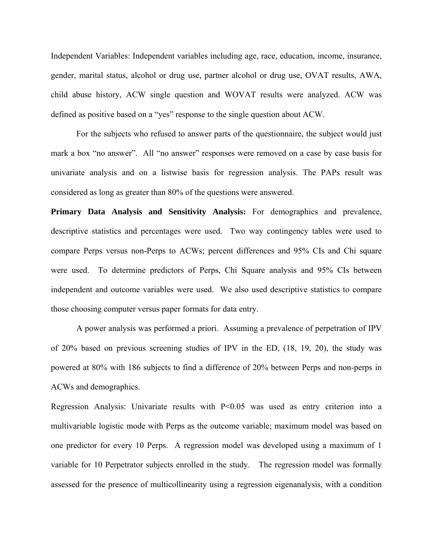Independent Variables: Independent variables including age, race, education, income, insurance, gender, marital status, alcohol or drug use, partner alcohol or drug use, OVAT results, AWA, child abuse history, ACW single question and WOVAT results were analyzed. ACW was defined as positive based on a "yes" response to the single question about ACW.

 For the subjects who refused to answer parts of the questionnaire, the subject would just mark a box "no answer". All "no answer" responses were removed on a case by case basis for univariate analysis and on a listwise basis for regression analysis. The PAPs result was considered as long as greater than 80% of the questions were answered.

**Primary Data Analysis and Sensitivity Analysis:** For demographics and prevalence, descriptive statistics and percentages were used. Two way contingency tables were used to compare Perps versus non-Perps to ACWs; percent differences and 95% CIs and Chi square were used. To determine predictors of Perps, Chi Square analysis and 95% CIs between independent and outcome variables were used. We also used descriptive statistics to compare those choosing computer versus paper formats for data entry.

A power analysis was performed a priori. Assuming a prevalence of perpetration of IPV of 20% based on previous screening studies of IPV in the ED, (18, 19, 20), the study was powered at 80% with 186 subjects to find a difference of 20% between Perps and non-perps in ACWs and demographics.

Regression Analysis: Univariate results with P<0.05 was used as entry criterion into a multivariable logistic mode with Perps as the outcome variable; maximum model was based on one predictor for every 10 Perps. A regression model was developed using a maximum of 1 variable for 10 Perpetrator subjects enrolled in the study. The regression model was formally assessed for the presence of multicollinearity using a regression eigenanalysis, with a condition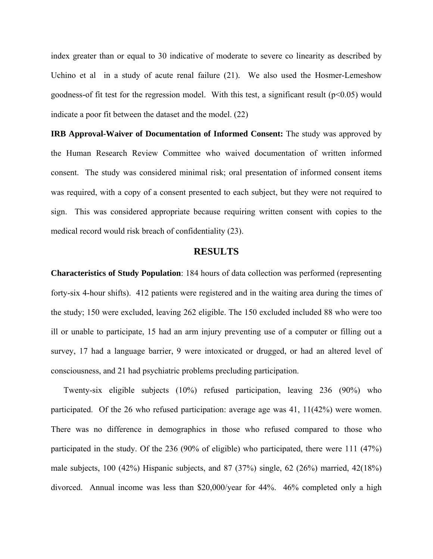index greater than or equal to 30 indicative of moderate to severe co linearity as described by Uchino et al in a study of acute renal failure (21). We also used the Hosmer-Lemeshow goodness-of fit test for the regression model. With this test, a significant result ( $p<0.05$ ) would indicate a poor fit between the dataset and the model. (22)

**IRB Approval-Waiver of Documentation of Informed Consent:** The study was approved by the Human Research Review Committee who waived documentation of written informed consent. The study was considered minimal risk; oral presentation of informed consent items was required, with a copy of a consent presented to each subject, but they were not required to sign. This was considered appropriate because requiring written consent with copies to the medical record would risk breach of confidentiality (23).

#### **RESULTS**

**Characteristics of Study Population**: 184 hours of data collection was performed (representing forty-six 4-hour shifts). 412 patients were registered and in the waiting area during the times of the study; 150 were excluded, leaving 262 eligible. The 150 excluded included 88 who were too ill or unable to participate, 15 had an arm injury preventing use of a computer or filling out a survey, 17 had a language barrier, 9 were intoxicated or drugged, or had an altered level of consciousness, and 21 had psychiatric problems precluding participation.

Twenty-six eligible subjects (10%) refused participation, leaving 236 (90%) who participated. Of the 26 who refused participation: average age was 41, 11(42%) were women. There was no difference in demographics in those who refused compared to those who participated in the study. Of the 236 (90% of eligible) who participated, there were 111 (47%) male subjects, 100 (42%) Hispanic subjects, and 87 (37%) single, 62 (26%) married, 42(18%) divorced. Annual income was less than \$20,000/year for 44%. 46% completed only a high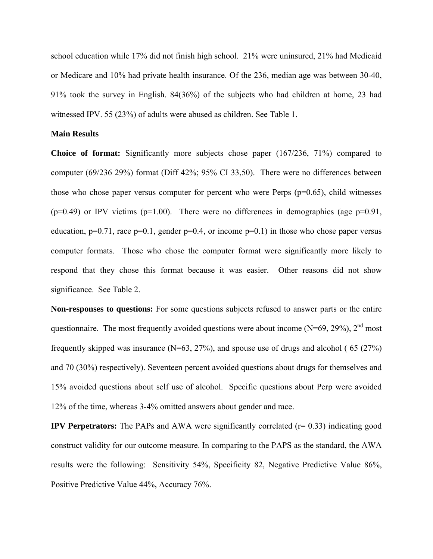school education while 17% did not finish high school. 21% were uninsured, 21% had Medicaid or Medicare and 10% had private health insurance. Of the 236, median age was between 30-40, 91% took the survey in English. 84(36%) of the subjects who had children at home, 23 had witnessed IPV. 55 (23%) of adults were abused as children. See Table 1.

#### **Main Results**

**Choice of format:** Significantly more subjects chose paper (167/236, 71%) compared to computer (69/236 29%) format (Diff 42%; 95% CI 33,50). There were no differences between those who chose paper versus computer for percent who were Perps  $(p=0.65)$ , child witnesses  $(p=0.49)$  or IPV victims  $(p=1.00)$ . There were no differences in demographics (age  $p=0.91$ , education,  $p=0.71$ , race  $p=0.1$ , gender  $p=0.4$ , or income  $p=0.1$ ) in those who chose paper versus computer formats. Those who chose the computer format were significantly more likely to respond that they chose this format because it was easier. Other reasons did not show significance. See Table 2.

**Non-responses to questions:** For some questions subjects refused to answer parts or the entire questionnaire. The most frequently avoided questions were about income (N=69, 29%),  $2<sup>nd</sup>$  most frequently skipped was insurance  $(N=63, 27%)$ , and spouse use of drugs and alcohol (65 (27%) and 70 (30%) respectively). Seventeen percent avoided questions about drugs for themselves and 15% avoided questions about self use of alcohol. Specific questions about Perp were avoided 12% of the time, whereas 3-4% omitted answers about gender and race.

**IPV Perpetrators:** The PAPs and AWA were significantly correlated (r= 0.33) indicating good construct validity for our outcome measure. In comparing to the PAPS as the standard, the AWA results were the following: Sensitivity 54%, Specificity 82, Negative Predictive Value 86%, Positive Predictive Value 44%, Accuracy 76%.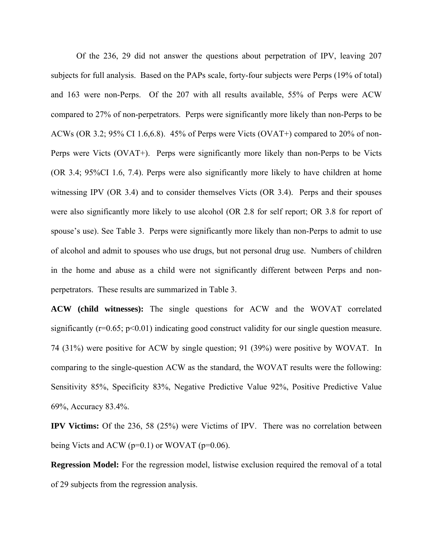Of the 236, 29 did not answer the questions about perpetration of IPV, leaving 207 subjects for full analysis. Based on the PAPs scale, forty-four subjects were Perps (19% of total) and 163 were non-Perps. Of the 207 with all results available, 55% of Perps were ACW compared to 27% of non-perpetrators. Perps were significantly more likely than non-Perps to be ACWs (OR 3.2; 95% CI 1.6,6.8). 45% of Perps were Victs (OVAT+) compared to 20% of non-Perps were Victs (OVAT+). Perps were significantly more likely than non-Perps to be Victs (OR 3.4; 95%CI 1.6, 7.4). Perps were also significantly more likely to have children at home witnessing IPV (OR 3.4) and to consider themselves Victs (OR 3.4). Perps and their spouses were also significantly more likely to use alcohol (OR 2.8 for self report; OR 3.8 for report of spouse's use). See Table 3. Perps were significantly more likely than non-Perps to admit to use of alcohol and admit to spouses who use drugs, but not personal drug use. Numbers of children in the home and abuse as a child were not significantly different between Perps and nonperpetrators. These results are summarized in Table 3.

**ACW (child witnesses):** The single questions for ACW and the WOVAT correlated significantly ( $r=0.65$ ;  $p<0.01$ ) indicating good construct validity for our single question measure. 74 (31%) were positive for ACW by single question; 91 (39%) were positive by WOVAT. In comparing to the single-question ACW as the standard, the WOVAT results were the following: Sensitivity 85%, Specificity 83%, Negative Predictive Value 92%, Positive Predictive Value 69%, Accuracy 83.4%.

**IPV Victims:** Of the 236, 58 (25%) were Victims of IPV. There was no correlation between being Victs and ACW ( $p=0.1$ ) or WOVAT ( $p=0.06$ ).

**Regression Model:** For the regression model, listwise exclusion required the removal of a total of 29 subjects from the regression analysis.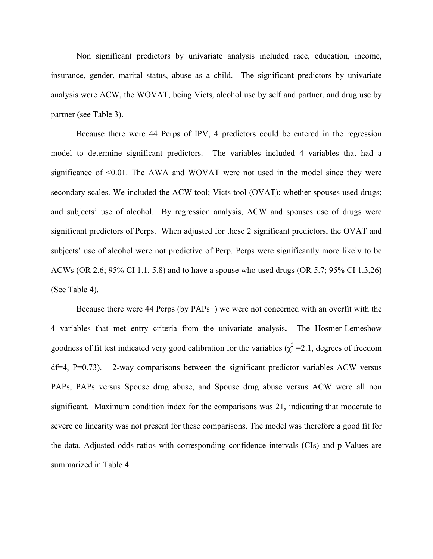Non significant predictors by univariate analysis included race, education, income, insurance, gender, marital status, abuse as a child. The significant predictors by univariate analysis were ACW, the WOVAT, being Victs, alcohol use by self and partner, and drug use by partner (see Table 3).

Because there were 44 Perps of IPV, 4 predictors could be entered in the regression model to determine significant predictors. The variables included 4 variables that had a significance of <0.01. The AWA and WOVAT were not used in the model since they were secondary scales. We included the ACW tool; Victs tool (OVAT); whether spouses used drugs; and subjects' use of alcohol. By regression analysis, ACW and spouses use of drugs were significant predictors of Perps. When adjusted for these 2 significant predictors, the OVAT and subjects' use of alcohol were not predictive of Perp. Perps were significantly more likely to be ACWs (OR 2.6; 95% CI 1.1, 5.8) and to have a spouse who used drugs (OR 5.7; 95% CI 1.3,26) (See Table 4).

Because there were 44 Perps (by PAPs+) we were not concerned with an overfit with the 4 variables that met entry criteria from the univariate analysis**.** The Hosmer-Lemeshow goodness of fit test indicated very good calibration for the variables ( $\chi^2$  =2.1, degrees of freedom  $df=4$ , P=0.73). 2-way comparisons between the significant predictor variables ACW versus PAPs, PAPs versus Spouse drug abuse, and Spouse drug abuse versus ACW were all non significant. Maximum condition index for the comparisons was 21, indicating that moderate to severe co linearity was not present for these comparisons. The model was therefore a good fit for the data. Adjusted odds ratios with corresponding confidence intervals (CIs) and p-Values are summarized in Table 4.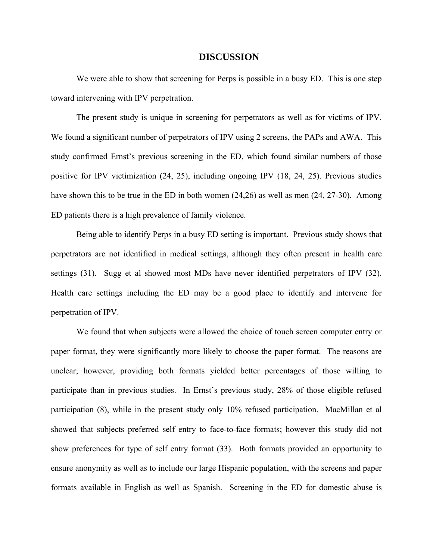#### **DISCUSSION**

We were able to show that screening for Perps is possible in a busy ED. This is one step toward intervening with IPV perpetration.

The present study is unique in screening for perpetrators as well as for victims of IPV. We found a significant number of perpetrators of IPV using 2 screens, the PAPs and AWA. This study confirmed Ernst's previous screening in the ED, which found similar numbers of those positive for IPV victimization (24, 25), including ongoing IPV (18, 24, 25). Previous studies have shown this to be true in the ED in both women (24,26) as well as men (24, 27-30). Among ED patients there is a high prevalence of family violence.

Being able to identify Perps in a busy ED setting is important. Previous study shows that perpetrators are not identified in medical settings, although they often present in health care settings (31). Sugg et al showed most MDs have never identified perpetrators of IPV (32). Health care settings including the ED may be a good place to identify and intervene for perpetration of IPV.

We found that when subjects were allowed the choice of touch screen computer entry or paper format, they were significantly more likely to choose the paper format. The reasons are unclear; however, providing both formats yielded better percentages of those willing to participate than in previous studies. In Ernst's previous study, 28% of those eligible refused participation (8), while in the present study only 10% refused participation. MacMillan et al showed that subjects preferred self entry to face-to-face formats; however this study did not show preferences for type of self entry format (33). Both formats provided an opportunity to ensure anonymity as well as to include our large Hispanic population, with the screens and paper formats available in English as well as Spanish. Screening in the ED for domestic abuse is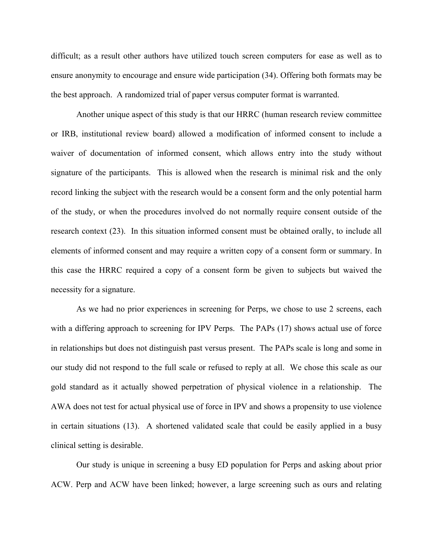difficult; as a result other authors have utilized touch screen computers for ease as well as to ensure anonymity to encourage and ensure wide participation (34). Offering both formats may be the best approach. A randomized trial of paper versus computer format is warranted.

Another unique aspect of this study is that our HRRC (human research review committee or IRB, institutional review board) allowed a modification of informed consent to include a waiver of documentation of informed consent, which allows entry into the study without signature of the participants. This is allowed when the research is minimal risk and the only record linking the subject with the research would be a consent form and the only potential harm of the study, or when the procedures involved do not normally require consent outside of the research context (23). In this situation informed consent must be obtained orally, to include all elements of informed consent and may require a written copy of a consent form or summary. In this case the HRRC required a copy of a consent form be given to subjects but waived the necessity for a signature.

As we had no prior experiences in screening for Perps, we chose to use 2 screens, each with a differing approach to screening for IPV Perps. The PAPs (17) shows actual use of force in relationships but does not distinguish past versus present. The PAPs scale is long and some in our study did not respond to the full scale or refused to reply at all. We chose this scale as our gold standard as it actually showed perpetration of physical violence in a relationship. The AWA does not test for actual physical use of force in IPV and shows a propensity to use violence in certain situations (13). A shortened validated scale that could be easily applied in a busy clinical setting is desirable.

Our study is unique in screening a busy ED population for Perps and asking about prior ACW. Perp and ACW have been linked; however, a large screening such as ours and relating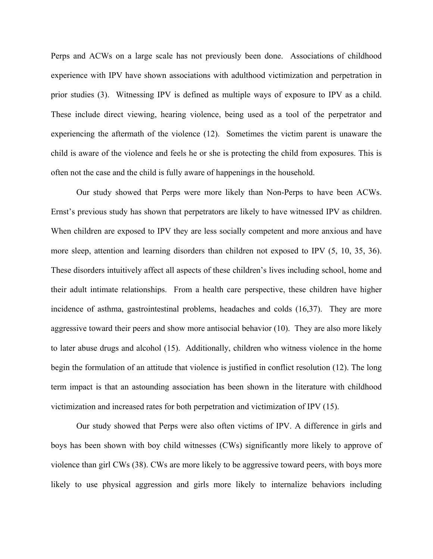Perps and ACWs on a large scale has not previously been done. Associations of childhood experience with IPV have shown associations with adulthood victimization and perpetration in prior studies (3). Witnessing IPV is defined as multiple ways of exposure to IPV as a child. These include direct viewing, hearing violence, being used as a tool of the perpetrator and experiencing the aftermath of the violence (12). Sometimes the victim parent is unaware the child is aware of the violence and feels he or she is protecting the child from exposures. This is often not the case and the child is fully aware of happenings in the household.

Our study showed that Perps were more likely than Non-Perps to have been ACWs. Ernst's previous study has shown that perpetrators are likely to have witnessed IPV as children. When children are exposed to IPV they are less socially competent and more anxious and have more sleep, attention and learning disorders than children not exposed to IPV  $(5, 10, 35, 36)$ . These disorders intuitively affect all aspects of these children's lives including school, home and their adult intimate relationships. From a health care perspective, these children have higher incidence of asthma, gastrointestinal problems, headaches and colds (16,37). They are more aggressive toward their peers and show more antisocial behavior (10). They are also more likely to later abuse drugs and alcohol (15). Additionally, children who witness violence in the home begin the formulation of an attitude that violence is justified in conflict resolution (12). The long term impact is that an astounding association has been shown in the literature with childhood victimization and increased rates for both perpetration and victimization of IPV (15).

Our study showed that Perps were also often victims of IPV. A difference in girls and boys has been shown with boy child witnesses (CWs) significantly more likely to approve of violence than girl CWs (38). CWs are more likely to be aggressive toward peers, with boys more likely to use physical aggression and girls more likely to internalize behaviors including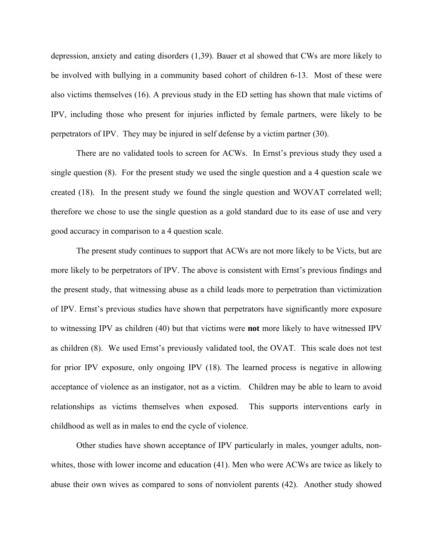depression, anxiety and eating disorders (1,39). Bauer et al showed that CWs are more likely to be involved with bullying in a community based cohort of children 6-13. Most of these were also victims themselves (16). A previous study in the ED setting has shown that male victims of IPV, including those who present for injuries inflicted by female partners, were likely to be perpetrators of IPV. They may be injured in self defense by a victim partner (30).

There are no validated tools to screen for ACWs. In Ernst's previous study they used a single question (8). For the present study we used the single question and a 4 question scale we created (18). In the present study we found the single question and WOVAT correlated well; therefore we chose to use the single question as a gold standard due to its ease of use and very good accuracy in comparison to a 4 question scale.

The present study continues to support that ACWs are not more likely to be Victs, but are more likely to be perpetrators of IPV. The above is consistent with Ernst's previous findings and the present study, that witnessing abuse as a child leads more to perpetration than victimization of IPV. Ernst's previous studies have shown that perpetrators have significantly more exposure to witnessing IPV as children (40) but that victims were **not** more likely to have witnessed IPV as children (8). We used Ernst's previously validated tool, the OVAT. This scale does not test for prior IPV exposure, only ongoing IPV (18). The learned process is negative in allowing acceptance of violence as an instigator, not as a victim. Children may be able to learn to avoid relationships as victims themselves when exposed. This supports interventions early in childhood as well as in males to end the cycle of violence.

Other studies have shown acceptance of IPV particularly in males, younger adults, nonwhites, those with lower income and education (41). Men who were ACWs are twice as likely to abuse their own wives as compared to sons of nonviolent parents (42). Another study showed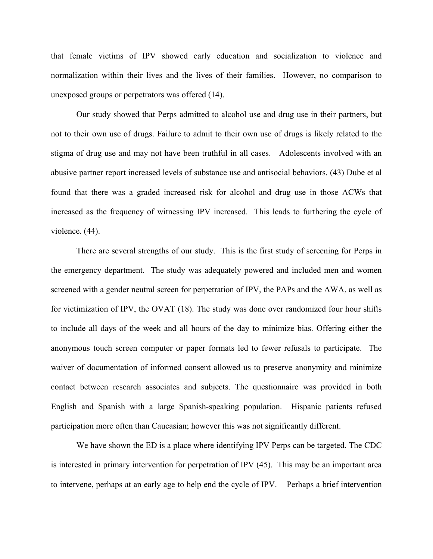that female victims of IPV showed early education and socialization to violence and normalization within their lives and the lives of their families. However, no comparison to unexposed groups or perpetrators was offered (14).

Our study showed that Perps admitted to alcohol use and drug use in their partners, but not to their own use of drugs. Failure to admit to their own use of drugs is likely related to the stigma of drug use and may not have been truthful in all cases. Adolescents involved with an abusive partner report increased levels of substance use and antisocial behaviors. (43) Dube et al found that there was a graded increased risk for alcohol and drug use in those ACWs that increased as the frequency of witnessing IPV increased. This leads to furthering the cycle of violence. (44).

 There are several strengths of our study. This is the first study of screening for Perps in the emergency department. The study was adequately powered and included men and women screened with a gender neutral screen for perpetration of IPV, the PAPs and the AWA, as well as for victimization of IPV, the OVAT (18). The study was done over randomized four hour shifts to include all days of the week and all hours of the day to minimize bias. Offering either the anonymous touch screen computer or paper formats led to fewer refusals to participate. The waiver of documentation of informed consent allowed us to preserve anonymity and minimize contact between research associates and subjects. The questionnaire was provided in both English and Spanish with a large Spanish-speaking population. Hispanic patients refused participation more often than Caucasian; however this was not significantly different.

We have shown the ED is a place where identifying IPV Perps can be targeted. The CDC is interested in primary intervention for perpetration of IPV (45). This may be an important area to intervene, perhaps at an early age to help end the cycle of IPV. Perhaps a brief intervention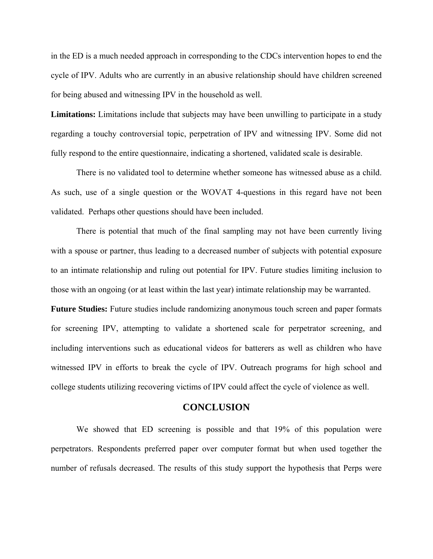in the ED is a much needed approach in corresponding to the CDCs intervention hopes to end the cycle of IPV. Adults who are currently in an abusive relationship should have children screened for being abused and witnessing IPV in the household as well.

**Limitations:** Limitations include that subjects may have been unwilling to participate in a study regarding a touchy controversial topic, perpetration of IPV and witnessing IPV. Some did not fully respond to the entire questionnaire, indicating a shortened, validated scale is desirable.

 There is no validated tool to determine whether someone has witnessed abuse as a child. As such, use of a single question or the WOVAT 4-questions in this regard have not been validated. Perhaps other questions should have been included.

 There is potential that much of the final sampling may not have been currently living with a spouse or partner, thus leading to a decreased number of subjects with potential exposure to an intimate relationship and ruling out potential for IPV. Future studies limiting inclusion to those with an ongoing (or at least within the last year) intimate relationship may be warranted.

**Future Studies:** Future studies include randomizing anonymous touch screen and paper formats for screening IPV, attempting to validate a shortened scale for perpetrator screening, and including interventions such as educational videos for batterers as well as children who have witnessed IPV in efforts to break the cycle of IPV. Outreach programs for high school and college students utilizing recovering victims of IPV could affect the cycle of violence as well.

#### **CONCLUSION**

We showed that ED screening is possible and that 19% of this population were perpetrators. Respondents preferred paper over computer format but when used together the number of refusals decreased. The results of this study support the hypothesis that Perps were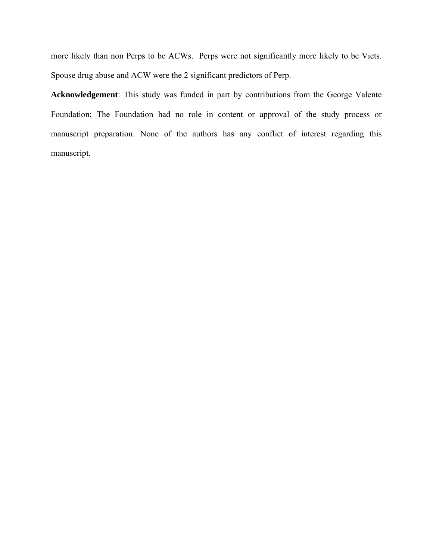more likely than non Perps to be ACWs. Perps were not significantly more likely to be Victs. Spouse drug abuse and ACW were the 2 significant predictors of Perp.

**Acknowledgement**: This study was funded in part by contributions from the George Valente Foundation; The Foundation had no role in content or approval of the study process or manuscript preparation. None of the authors has any conflict of interest regarding this manuscript.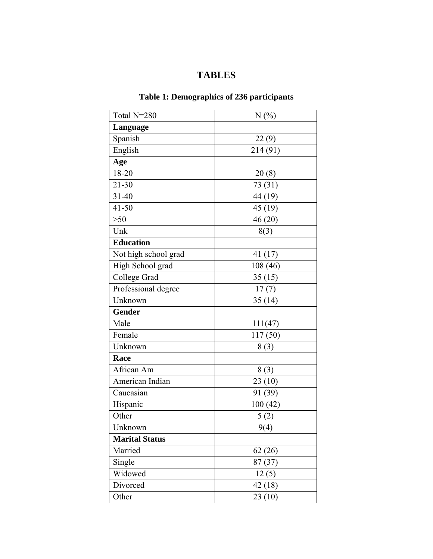# **TABLES**

# **Table 1: Demographics of 236 participants**

| Total N=280          | N(%)     |  |  |
|----------------------|----------|--|--|
| Language             |          |  |  |
| Spanish              | 22(9)    |  |  |
| English              | 214 (91) |  |  |
| Age                  |          |  |  |
| 18-20                | 20(8)    |  |  |
| $21 - 30$            | 73 (31)  |  |  |
| $31 - 40$            | 44 (19)  |  |  |
| $41 - 50$            | 45 (19)  |  |  |
| $>50$                | 46(20)   |  |  |
| Unk                  | 8(3)     |  |  |
| <b>Education</b>     |          |  |  |
| Not high school grad | 41(17)   |  |  |
| High School grad     | 108 (46) |  |  |
| College Grad         | 35(15)   |  |  |
| Professional degree  | 17(7)    |  |  |
| Unknown              | 35(14)   |  |  |
| Gender               |          |  |  |
| Male                 | 111(47)  |  |  |
| Female               | 117(50)  |  |  |
| Unknown              | 8(3)     |  |  |
| Race                 |          |  |  |
| African Am           | 8(3)     |  |  |
| American Indian      | 23(10)   |  |  |
| Caucasian            | 91 (39)  |  |  |
| Hispanic             | 100(42)  |  |  |
| Other                | 5(2)     |  |  |
| Unknown              | 9(4)     |  |  |
| Marital Status       |          |  |  |
| Married              | 62(26)   |  |  |
| Single               | 87(37)   |  |  |
| Widowed              | 12(5)    |  |  |
| Divorced             | 42 (18)  |  |  |
| Other                | 23(10)   |  |  |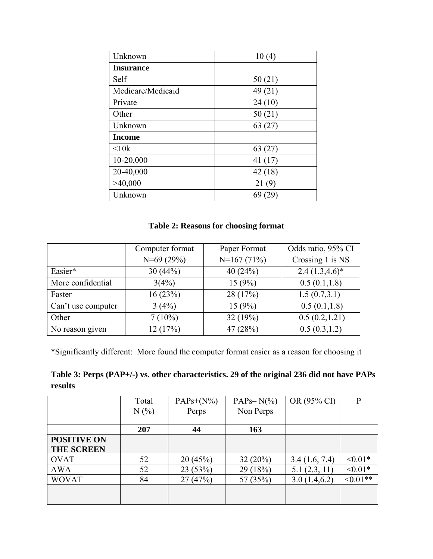| Unknown           | 10(4)   |
|-------------------|---------|
| <b>Insurance</b>  |         |
| Self              | 50(21)  |
| Medicare/Medicaid | 49 (21) |
| Private           | 24(10)  |
| Other             | 50(21)  |
| Unknown           | 63(27)  |
| <b>Income</b>     |         |
| $\leq 10k$        | 63 (27) |
| 10-20,000         | 41 (17) |
| 20-40,000         | 42(18)  |
| >40,000           | 21(9)   |
| Unknown           | 69 (29) |

### **Table 2: Reasons for choosing format**

|                    | Computer format | Paper Format | Odds ratio, 95% CI |  |
|--------------------|-----------------|--------------|--------------------|--|
|                    | $N=69(29%)$     | $N=167(71%)$ | Crossing 1 is NS   |  |
| Easier*            | 30(44%)         | 40 $(24%)$   | $2.4(1.3,4.6)^*$   |  |
| More confidential  | 3(4%)           | 15(9%)       | 0.5(0.1, 1.8)      |  |
| Faster             | 16(23%)         | 28 (17%)     | 1.5(0.7,3.1)       |  |
| Can't use computer | 3(4%)           | 15(9%)       | 0.5(0.1, 1.8)      |  |
| Other              | $7(10\%)$       | 32(19%)      | 0.5(0.2, 1.21)     |  |
| No reason given    | 12(17%)         | 47 (28%)     | 0.5(0.3, 1.2)      |  |

\*Significantly different: More found the computer format easier as a reason for choosing it

| Table 3: Perps (PAP+/-) vs. other characteristics. 29 of the original 236 did not have PAPs |  |  |
|---------------------------------------------------------------------------------------------|--|--|
| results                                                                                     |  |  |

|                    | Total | $PAPs+(N\%)$ | PAP <sub>S</sub> $-N$ <sup>(%)</sup> ) | OR (95% CI)   | P             |
|--------------------|-------|--------------|----------------------------------------|---------------|---------------|
|                    | N(%)  | Perps        | Non Perps                              |               |               |
|                    |       |              |                                        |               |               |
|                    | 207   | 44           | 163                                    |               |               |
| <b>POSITIVE ON</b> |       |              |                                        |               |               |
| <b>THE SCREEN</b>  |       |              |                                        |               |               |
| <b>OVAT</b>        | 52    | 20(45%)      | $32(20\%)$                             | 3.4(1.6, 7.4) | $< 0.01*$     |
| <b>AWA</b>         | 52    | 23(53%)      | 29(18%)                                | 5.1(2.3, 11)  | $< 0.01*$     |
| <b>WOVAT</b>       | 84    | 27(47%)      | 57 (35%)                               | 3.0(1.4, 6.2) | $\leq 0.01**$ |
|                    |       |              |                                        |               |               |
|                    |       |              |                                        |               |               |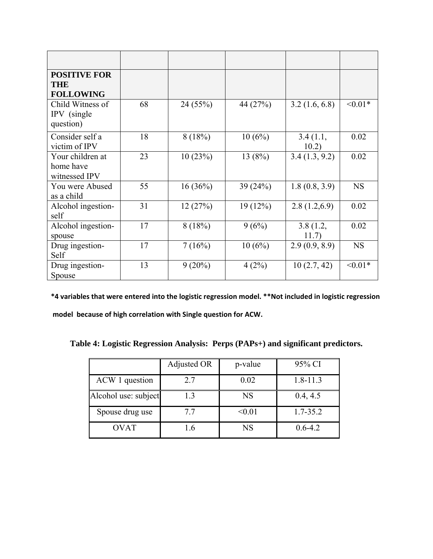| <b>POSITIVE FOR</b><br><b>THE</b><br><b>FOLLOWING</b> |    |           |          |                   |           |
|-------------------------------------------------------|----|-----------|----------|-------------------|-----------|
| Child Witness of<br>IPV (single<br>question)          | 68 | 24 (55%)  | 44 (27%) | 3.2(1.6, 6.8)     | $< 0.01*$ |
| Consider self a<br>victim of IPV                      | 18 | 8(18%)    | 10(6%)   | 3.4(1.1,<br>10.2) | 0.02      |
| Your children at<br>home have<br>witnessed IPV        | 23 | 10(23%)   | 13(8%)   | 3.4(1.3, 9.2)     | 0.02      |
| You were Abused<br>as a child                         | 55 | 16(36%)   | 39(24%)  | 1.8(0.8, 3.9)     | <b>NS</b> |
| Alcohol ingestion-<br>self                            | 31 | 12(27%)   | 19(12%)  | 2.8(1.2,6.9)      | 0.02      |
| Alcohol ingestion-<br>spouse                          | 17 | 8(18%)    | 9(6%)    | 3.8(1.2,<br>11.7) | 0.02      |
| Drug ingestion-<br>Self                               | 17 | 7(16%)    | 10(6%)   | 2.9(0.9, 8.9)     | <b>NS</b> |
| Drug ingestion-<br>Spouse                             | 13 | $9(20\%)$ | 4(2%)    | 10(2.7, 42)       | $< 0.01*$ |

**\*4 variables that were entered into the logistic regression model. \*\*Not included in logistic regression model because of high correlation with Single question for ACW.**

**Table 4: Logistic Regression Analysis: Perps (PAPs+) and significant predictors.**

|                      | Adjusted OR | p-value   | 95% CI       |
|----------------------|-------------|-----------|--------------|
| ACW 1 question       | 2.7         | 0.02      | $1.8 - 11.3$ |
| Alcohol use: subject | 1.3         | <b>NS</b> | 0.4, 4.5     |
| Spouse drug use      | 7.7         | < 0.01    | $1.7 - 35.2$ |
| <b>OVAT</b>          | 1.6         | <b>NS</b> | $0.6 - 4.2$  |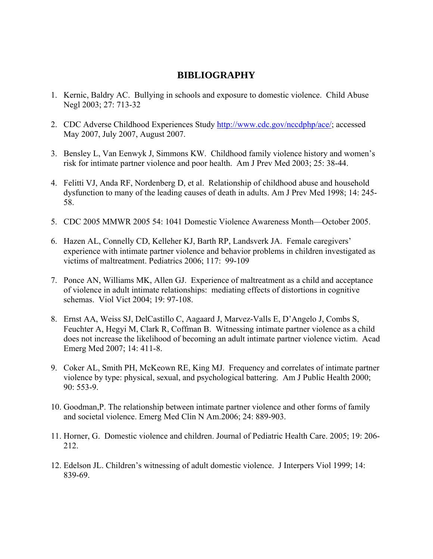## **BIBLIOGRAPHY**

- 1. Kernic, Baldry AC. Bullying in schools and exposure to domestic violence. Child Abuse Negl 2003; 27: 713-32
- 2. CDC Adverse Childhood Experiences Study [http://www.cdc.gov/nccdphp/ace/;](http://www.cdc.gov/nccdphp/ace/) accessed May 2007, July 2007, August 2007.
- 3. Bensley L, Van Eenwyk J, Simmons KW. Childhood family violence history and women's risk for intimate partner violence and poor health. Am J Prev Med 2003; 25: 38-44.
- 4. Felitti VJ, Anda RF, Nordenberg D, et al. Relationship of childhood abuse and household dysfunction to many of the leading causes of death in adults. Am J Prev Med 1998; 14: 245- 58.
- 5. CDC 2005 MMWR 2005 54: 1041 Domestic Violence Awareness Month—October 2005.
- 6. Hazen AL, Connelly CD, Kelleher KJ, Barth RP, Landsverk JA. Female caregivers' experience with intimate partner violence and behavior problems in children investigated as victims of maltreatment. Pediatrics 2006; 117: 99-109
- 7. Ponce AN, Williams MK, Allen GJ. Experience of maltreatment as a child and acceptance of violence in adult intimate relationships: mediating effects of distortions in cognitive schemas. Viol Vict 2004; 19: 97-108.
- 8. Ernst AA, Weiss SJ, DelCastillo C, Aagaard J, Marvez-Valls E, D'Angelo J, Combs S, Feuchter A, Hegyi M, Clark R, Coffman B. Witnessing intimate partner violence as a child does not increase the likelihood of becoming an adult intimate partner violence victim. Acad Emerg Med 2007; 14: 411-8.
- 9. Coker AL, Smith PH, McKeown RE, King MJ. Frequency and correlates of intimate partner violence by type: physical, sexual, and psychological battering. Am J Public Health 2000; 90: 553-9.
- 10. Goodman,P. The relationship between intimate partner violence and other forms of family and societal violence. Emerg Med Clin N Am.2006; 24: 889-903.
- 11. Horner, G. Domestic violence and children. Journal of Pediatric Health Care. 2005; 19: 206- 212.
- 12. Edelson JL. Children's witnessing of adult domestic violence. J Interpers Viol 1999; 14: 839-69.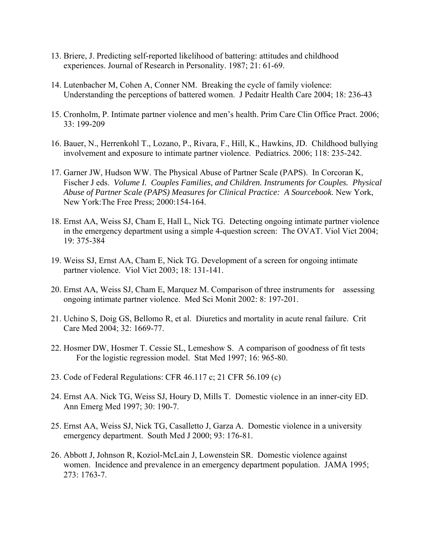- 13. Briere, J. Predicting self-reported likelihood of battering: attitudes and childhood experiences. Journal of Research in Personality. 1987; 21: 61-69.
- 14. Lutenbacher M, Cohen A, Conner NM. Breaking the cycle of family violence: Understanding the perceptions of battered women. J Pedaitr Health Care 2004; 18: 236-43
- 15. Cronholm, P. Intimate partner violence and men's health. Prim Care Clin Office Pract. 2006; 33: 199-209
- 16. Bauer, N., Herrenkohl T., Lozano, P., Rivara, F., Hill, K., Hawkins, JD. Childhood bullying involvement and exposure to intimate partner violence. Pediatrics. 2006; 118: 235-242.
- 17. Garner JW, Hudson WW. The Physical Abuse of Partner Scale (PAPS). In Corcoran K, Fischer J eds. *Volume I. Couples Families, and Children. Instruments for Couples. Physical Abuse of Partner Scale (PAPS) Measures for Clinical Practice: A Sourcebook*. New York, New York:The Free Press; 2000:154-164.
- 18. Ernst AA, Weiss SJ, Cham E, Hall L, Nick TG. Detecting ongoing intimate partner violence in the emergency department using a simple 4-question screen: The OVAT. Viol Vict 2004; 19: 375-384
- 19. Weiss SJ, Ernst AA, Cham E, Nick TG. Development of a screen for ongoing intimate partner violence. Viol Vict 2003; 18: 131-141.
- 20. Ernst AA, Weiss SJ, Cham E, Marquez M. Comparison of three instruments for assessing ongoing intimate partner violence. Med Sci Monit 2002: 8: 197-201.
- 21. Uchino S, Doig GS, Bellomo R, et al. Diuretics and mortality in acute renal failure. Crit Care Med 2004; 32: 1669-77.
- 22. Hosmer DW, Hosmer T. Cessie SL, Lemeshow S. A comparison of goodness of fit tests For the logistic regression model. Stat Med 1997; 16: 965-80.
- 23. Code of Federal Regulations: CFR 46.117 c; 21 CFR 56.109 (c)
- 24. Ernst AA. Nick TG, Weiss SJ, Houry D, Mills T. Domestic violence in an inner-city ED. Ann Emerg Med 1997; 30: 190-7.
- 25. Ernst AA, Weiss SJ, Nick TG, Casalletto J, Garza A. Domestic violence in a university emergency department. South Med J 2000; 93: 176-81.
- 26. Abbott J, Johnson R, Koziol-McLain J, Lowenstein SR. Domestic violence against women. Incidence and prevalence in an emergency department population. JAMA 1995; 273: 1763-7.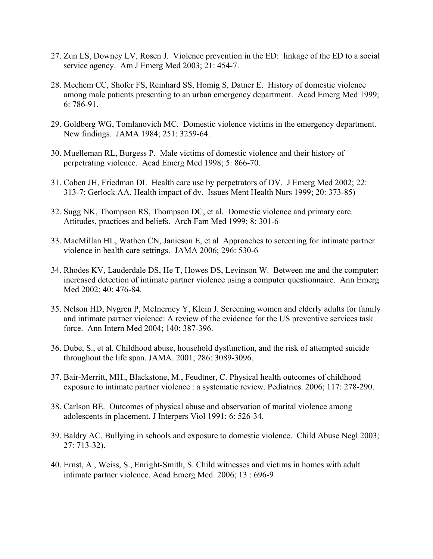- 27. Zun LS, Downey LV, Rosen J. Violence prevention in the ED: linkage of the ED to a social service agency. Am J Emerg Med 2003; 21: 454-7.
- 28. Mechem CC, Shofer FS, Reinhard SS, Homig S, Datner E. History of domestic violence among male patients presenting to an urban emergency department. Acad Emerg Med 1999; 6: 786-91.
- 29. Goldberg WG, Tomlanovich MC. Domestic violence victims in the emergency department. New findings. JAMA 1984; 251: 3259-64.
- 30. Muelleman RL, Burgess P. Male victims of domestic violence and their history of perpetrating violence. Acad Emerg Med 1998; 5: 866-70.
- 31. Coben JH, Friedman DI. Health care use by perpetrators of DV. J Emerg Med 2002; 22: 313-7; Gerlock AA. Health impact of dv. Issues Ment Health Nurs 1999; 20: 373-85)
- 32. Sugg NK, Thompson RS, Thompson DC, et al. Domestic violence and primary care. Attitudes, practices and beliefs. Arch Fam Med 1999; 8: 301-6
- 33. MacMillan HL, Wathen CN, Janieson E, et al Approaches to screening for intimate partner violence in health care settings. JAMA 2006; 296: 530-6
- 34. Rhodes KV, Lauderdale DS, He T, Howes DS, Levinson W. Between me and the computer: increased detection of intimate partner violence using a computer questionnaire. Ann Emerg Med 2002; 40: 476-84.
- 35. Nelson HD, Nygren P, McInerney Y, Klein J. Screening women and elderly adults for family and intimate partner violence: A review of the evidence for the US preventive services task force. Ann Intern Med 2004; 140: 387-396.
- 36. Dube, S., et al. Childhood abuse, household dysfunction, and the risk of attempted suicide throughout the life span. JAMA. 2001; 286: 3089-3096.
- 37. Bair-Merritt, MH., Blackstone, M., Feudtner, C. Physical health outcomes of childhood exposure to intimate partner violence : a systematic review. Pediatrics. 2006; 117: 278-290.
- 38. Carlson BE. Outcomes of physical abuse and observation of marital violence among adolescents in placement. J Interpers Viol 1991; 6: 526-34.
- 39. Baldry AC. Bullying in schools and exposure to domestic violence. Child Abuse Negl 2003; 27: 713-32).
- 40. Ernst, A., Weiss, S., Enright-Smith, S. Child witnesses and victims in homes with adult intimate partner violence. Acad Emerg Med. 2006; 13 : 696-9